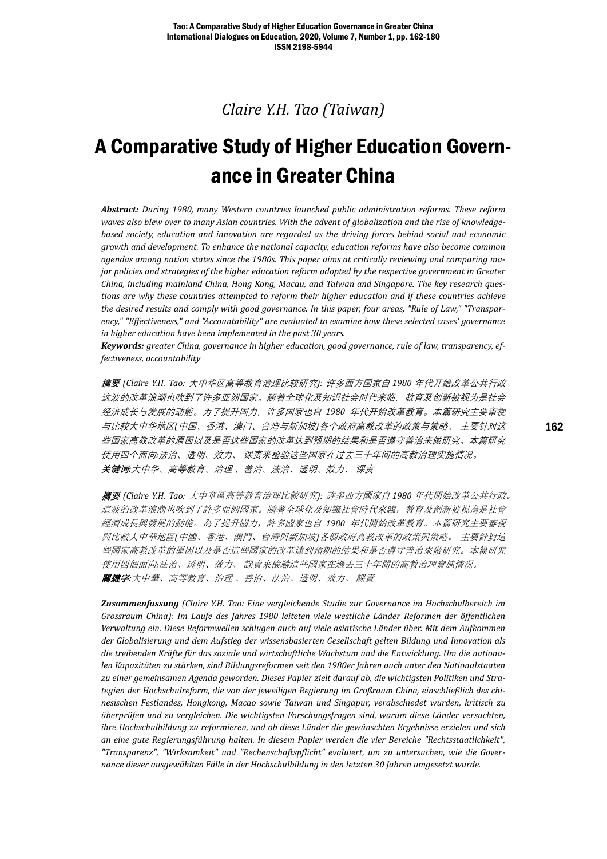### *Claire Y.H. Tao (Taiwan)*

# A Comparative Study of Higher Education Governance in Greater China

*Abstract: During 1980, many Western countries launched public administration reforms. These reform waves also blew over to many Asian countries. With the advent of globalization and the rise of knowledgebased society, education and innovation are regarded as the driving forces behind social and economic growth and development. To enhance the national capacity, education reforms have also become common agendas among nation states since the 1980s. This paper aims at critically reviewing and comparing major policies and strategies of the higher education reform adopted by the respective government in Greater China, including mainland China, Hong Kong, Macau, and Taiwan and Singapore. The key research questions are why these countries attempted to reform their higher education and if these countries achieve the desired results and comply with good governance. In this paper, four areas, "Rule of Law," "Transparency," "Effectiveness," and "Accountability" are evaluated to examine how these selected cases' governance in higher education have been implemented in the past 30 years.*

*Keywords: greater China, governance in higher education, good governance, rule of law, transparency, effectiveness, accountability*

**摘要** *(Claire Y.H. Tao:* 大中华区高等教育治理比较研究*):* 许多西方国家自 *1980* 年代开始改革公共行政。 这波的改革浪潮也吹到了许多亚洲国家。随着全球化及知识社会时代来临,教育及创新被视为是社会 经济成长与发展的动能。为了提升国力,许多国家也自 *1980* 年代开始改革教育。本篇研究主要审视 与比较大中华地区*(*中国、香港、澳门、台湾与新加坡*)*各个政府高教改革的政策与策略。 主要针对这 些国家高教改革的原因以及是否这些国家的改革达到预期的结果和是否遵守善治来做研究。本篇研究 使用四个面向*:*法治、透明、效力、 课责来检验这些国家在过去三十年间的高教治理实施情况。 **关键词***:*大中华、高等教育、治理 、善治、法治、透明、效力、 课责

摘要 *(Claire Y.H. Tao:* 大中華區高等教育治理比較研究*):* 許多西方國家自 *1980* 年代開始改革公共行政。 這波的改革浪潮也吹到了許多亞洲國家。隨著全球化及知識社會時代來臨,教育及創新被視為是社會 經濟成長與發展的動能。為了提升國力,許多國家也自 *1980* 年代開始改革教育。本篇研究主要審視 與比較大中華地區*(*中國、香港、澳門、台灣與新加坡*)*各個政府高教改革的政策與策略。 主要針對這 些國家高教改革的原因以及是否這些國家的改革達到預期的結果和是否遵守善治來做研究。本篇研究 使用四個面向*:*法治、透明、效力、 課責來檢驗這些國家在過去三十年間的高教治理實施情況。 關鍵字*:*大中華、高等教育、治理 、善治、法治、透明、效力、 課責

*Zusammenfassung (Claire Y.H. Tao: Eine vergleichende Studie zur Governance im Hochschulbereich im Grossraum China): Im Laufe des Jahres 1980 leiteten viele westliche Länder Reformen der öffentlichen Verwaltung ein. Diese Reformwellen schlugen auch auf viele asiatische Länder über. Mit dem Aufkommen der Globalisierung und dem Aufstieg der wissensbasierten Gesellschaft gelten Bildung und Innovation als die treibenden Kräfte für das soziale und wirtschaftliche Wachstum und die Entwicklung. Um die nationalen Kapazitäten zu stärken, sind Bildungsreformen seit den 1980er Jahren auch unter den Nationalstaaten zu einer gemeinsamen Agenda geworden. Dieses Papier zielt darauf ab, die wichtigsten Politiken und Strategien der Hochschulreform, die von der jeweiligen Regierung im Großraum China, einschließlich des chinesischen Festlandes, Hongkong, Macao sowie Taiwan und Singapur, verabschiedet wurden, kritisch zu überprüfen und zu vergleichen. Die wichtigsten Forschungsfragen sind, warum diese Länder versuchten, ihre Hochschulbildung zu reformieren, und ob diese Länder die gewünschten Ergebnisse erzielen und sich an eine gute Regierungsführung halten. In diesem Papier werden die vier Bereiche "Rechtsstaatlichkeit", "Transparenz", "Wirksamkeit" und "Rechenschaftspflicht" evaluiert, um zu untersuchen, wie die Governance dieser ausgewählten Fälle in der Hochschulbildung in den letzten 30 Jahren umgesetzt wurde.*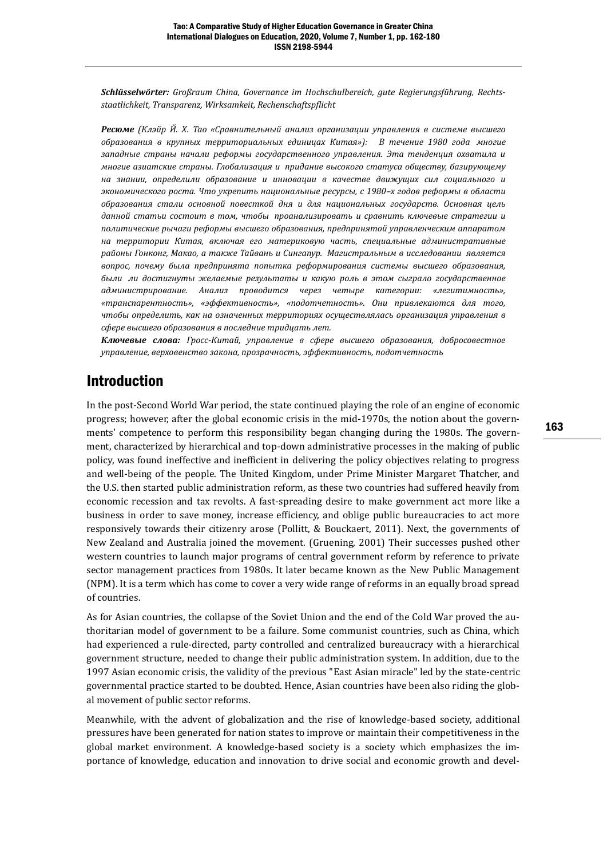*Schlüsselwörter: Großraum China, Governance im Hochschulbereich, gute Regierungsführung, Rechtsstaatlichkeit, Transparenz, Wirksamkeit, Rechenschaftspflicht*

*Ресюме (Клэйр Й. Х. Тао «Сравнительный анализ организации управления в системе высшего образования в крупных территориальных единицах Китая»): В течение 1980 года многие западные страны начали реформы государственного управления. Эта тенденция охватила и многие азиатские страны. Глобализация и придание высокого статуса обществу, базирующему на знании, определили образование и инновации в качестве движущих сил социального и экономического роста. Что укрепить национальные ресурсы, с 1980–х годов реформы в области образования стали основной повесткой дня и для национальных государств. Основная цель данной статьи состоит в том, чтобы проанализировать и сравнить ключевые стратегии и политические рычаги реформы высшего образования, предпринятой управленческим аппаратом на территории Китая, включая его материковую часть, специальные административные районы Гонконг, Макао, а также Тайвань и Сингапур. Магистральным в исследовании является вопрос, почему была предпринята попытка реформирования системы высшего образования, были ли достигнуты желаемые результаты и какую роль в этом сыграло государственное администрирование. Анализ проводится через четыре категории: «легитимность», «транспарентность», «эффективность», «подотчетность». Они привлекаются для того, чтобы определить, как на означенных территориях осуществлялась организация управления в сфере высшего образования в последние тридцать лет.* 

*Ключевые слова: Гросс-Китай, управление в сфере высшего образования, добросовестное управление, верховенство закона, прозрачность, эффективность, подотчетность*

#### Introduction

In the post-Second World War period, the state continued playing the role of an engine of economic progress; however, after the global economic crisis in the mid-1970s, the notion about the governments' competence to perform this responsibility began changing during the 1980s. The government, characterized by hierarchical and top-down administrative processes in the making of public policy, was found ineffective and inefficient in delivering the policy objectives relating to progress and well-being of the people. The United Kingdom, under Prime Minister Margaret Thatcher, and the U.S. then started public administration reform, as these two countries had suffered heavily from economic recession and tax revolts. A fast-spreading desire to make government act more like a business in order to save money, increase efficiency, and oblige public bureaucracies to act more responsively towards their citizenry arose (Pollitt, & Bouckaert, 2011). Next, the governments of New Zealand and Australia joined the movement. (Gruening, 2001) Their successes pushed other western countries to launch major programs of central government reform by reference to private sector management practices from 1980s. It later became known as the New Public Management (NPM). It is a term which has come to cover a very wide range of reforms in an equally broad spread of countries.

As for Asian countries, the collapse of the Soviet Union and the end of the Cold War proved the authoritarian model of government to be a failure. Some communist countries, such as China, which had experienced a rule-directed, party controlled and centralized bureaucracy with a hierarchical government structure, needed to change their public administration system. In addition, due to the 1997 Asian economic crisis, the validity of the previous "East Asian miracle" led by the state-centric governmental practice started to be doubted. Hence, Asian countries have been also riding the global movement of public sector reforms.

Meanwhile, with the advent of globalization and the rise of knowledge-based society, additional pressures have been generated for nation states to improve or maintain their competitiveness in the global market environment. A knowledge-based society is a society which emphasizes the importance of knowledge, education and innovation to drive social and economic growth and devel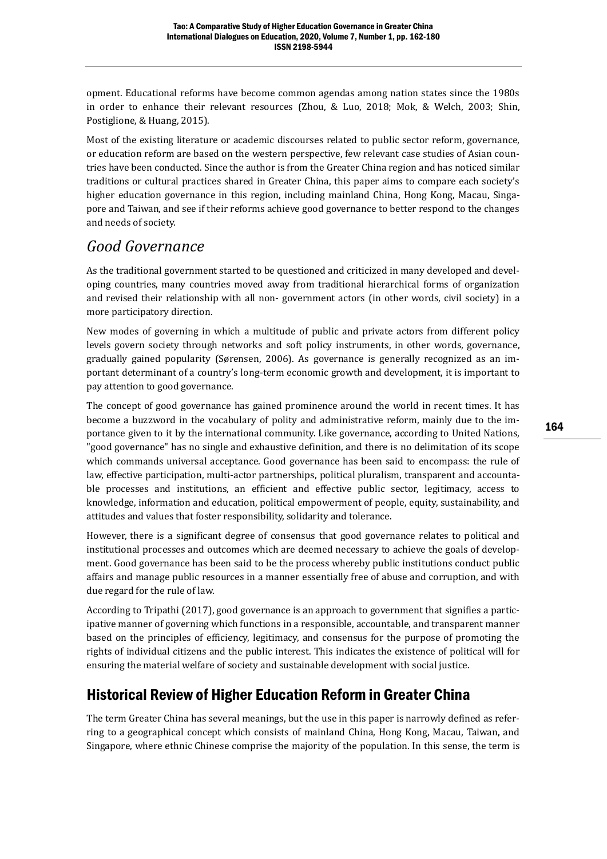opment. Educational reforms have become common agendas among nation states since the 1980s in order to enhance their relevant resources (Zhou, & Luo, 2018; Mok, & Welch, 2003; Shin, Postiglione, & Huang, 2015).

Most of the existing literature or academic discourses related to public sector reform, governance, or education reform are based on the western perspective, few relevant case studies of Asian countries have been conducted. Since the author is from the Greater China region and has noticed similar traditions or cultural practices shared in Greater China, this paper aims to compare each society's higher education governance in this region, including mainland China, Hong Kong, Macau, Singapore and Taiwan, and see if their reforms achieve good governance to better respond to the changes and needs of society.

### *Good Governance*

As the traditional government started to be questioned and criticized in many developed and developing countries, many countries moved away from traditional hierarchical forms of organization and revised their relationship with all non- government actors (in other words, civil society) in a more participatory direction.

New modes of governing in which a multitude of public and private actors from different policy levels govern society through networks and soft policy instruments, in other words, governance, gradually gained popularity (Sørensen, 2006). As governance is generally recognized as an important determinant of a country's long-term economic growth and development, it is important to pay attention to good governance.

The concept of good governance has gained prominence around the world in recent times. It has become a buzzword in the vocabulary of polity and administrative reform, mainly due to the importance given to it by the international community. Like governance, according to United Nations, "good governance" has no single and exhaustive definition, and there is no delimitation of its scope which commands universal acceptance. Good governance has been said to encompass: the rule of law, effective participation, multi-actor partnerships, political pluralism, transparent and accountable processes and institutions, an efficient and effective public sector, legitimacy, access to knowledge, information and education, political empowerment of people, equity, sustainability, and attitudes and values that foster responsibility, solidarity and tolerance.

However, there is a significant degree of consensus that good governance relates to political and institutional processes and outcomes which are deemed necessary to achieve the goals of development. Good governance has been said to be the process whereby public institutions conduct public affairs and manage public resources in a manner essentially free of abuse and corruption, and with due regard for the rule of law.

According to Tripathi (2017), good governance is an approach to government that signifies a participative manner of governing which functions in a responsible, accountable, and transparent manner based on the principles of efficiency, legitimacy, and consensus for the purpose of promoting the rights of individual citizens and the public interest. This indicates the existence of political will for ensuring the material welfare of society and sustainable development with social justice.

### Historical Review of Higher Education Reform in Greater China

The term Greater China has several meanings, but the use in this paper is narrowly defined as referring to a geographical concept which consists of mainland China, Hong Kong, Macau, Taiwan, and Singapore, where ethnic Chinese comprise the majority of the population. In this sense, the term is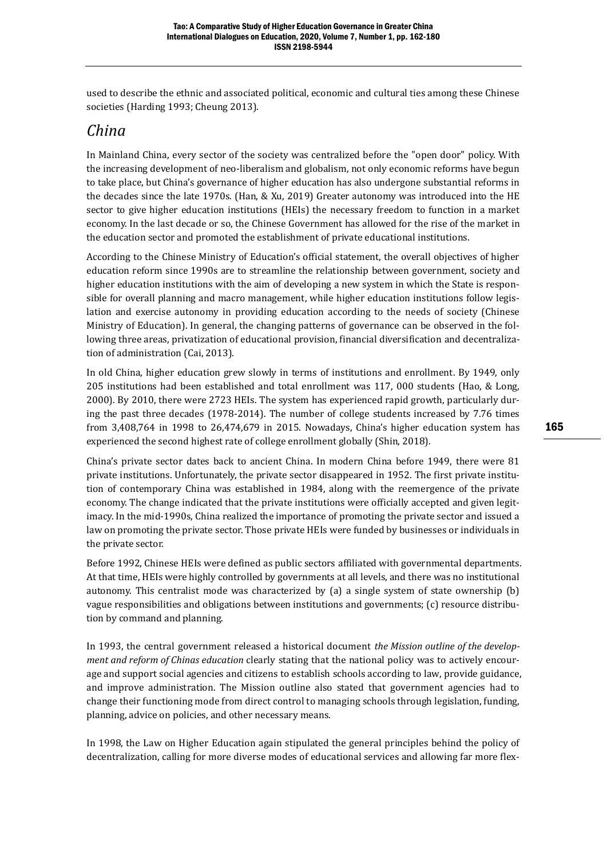used to describe the ethnic and associated political, economic and cultural ties among these Chinese societies (Harding 1993; Cheung 2013).

#### *China*

In Mainland China, every sector of the society was centralized before the "open door" policy. With the increasing development of neo-liberalism and globalism, not only economic reforms have begun to take place, but China's governance of higher education has also undergone substantial reforms in the decades since the late 1970s. (Han, & Xu, 2019) Greater autonomy was introduced into the HE sector to give higher education institutions (HEIs) the necessary freedom to function in a market economy. In the last decade or so, the Chinese Government has allowed for the rise of the market in the education sector and promoted the establishment of private educational institutions.

According to the Chinese Ministry of Education's official statement, the overall objectives of higher education reform since 1990s are to streamline the relationship between government, society and higher education institutions with the aim of developing a new system in which the State is responsible for overall planning and macro management, while higher education institutions follow legislation and exercise autonomy in providing education according to the needs of society (Chinese Ministry of Education). In general, the changing patterns of governance can be observed in the following three areas, privatization of educational provision, financial diversification and decentralization of administration (Cai, 2013).

In old China, higher education grew slowly in terms of institutions and enrollment. By 1949, only 205 institutions had been established and total enrollment was 117, 000 students (Hao, & Long, 2000). By 2010, there were 2723 HEIs. The system has experienced rapid growth, particularly during the past three decades (1978-2014). The number of college students increased by 7.76 times from 3,408,764 in 1998 to 26,474,679 in 2015. Nowadays, China's higher education system has experienced the second highest rate of college enrollment globally (Shin, 2018).

China's private sector dates back to ancient China. In modern China before 1949, there were 81 private institutions. Unfortunately, the private sector disappeared in 1952. The first private institution of contemporary China was established in 1984, along with the reemergence of the private economy. The change indicated that the private institutions were officially accepted and given legitimacy. In the mid-1990s, China realized the importance of promoting the private sector and issued a law on promoting the private sector. Those private HEIs were funded by businesses or individuals in the private sector.

Before 1992, Chinese HEIs were defined as public sectors affiliated with governmental departments. At that time, HEIs were highly controlled by governments at all levels, and there was no institutional autonomy. This centralist mode was characterized by (a) a single system of state ownership (b) vague responsibilities and obligations between institutions and governments; (c) resource distribution by command and planning.

In 1993, the central government released a historical document *the Mission outline of the development and reform of Chinas education clearly stating that the national policy was to actively encour*age and support social agencies and citizens to establish schools according to law, provide guidance, and improve administration. The Mission outline also stated that government agencies had to change their functioning mode from direct control to managing schools through legislation, funding, planning, advice on policies, and other necessary means.

In 1998, the Law on Higher Education again stipulated the general principles behind the policy of decentralization, calling for more diverse modes of educational services and allowing far more flex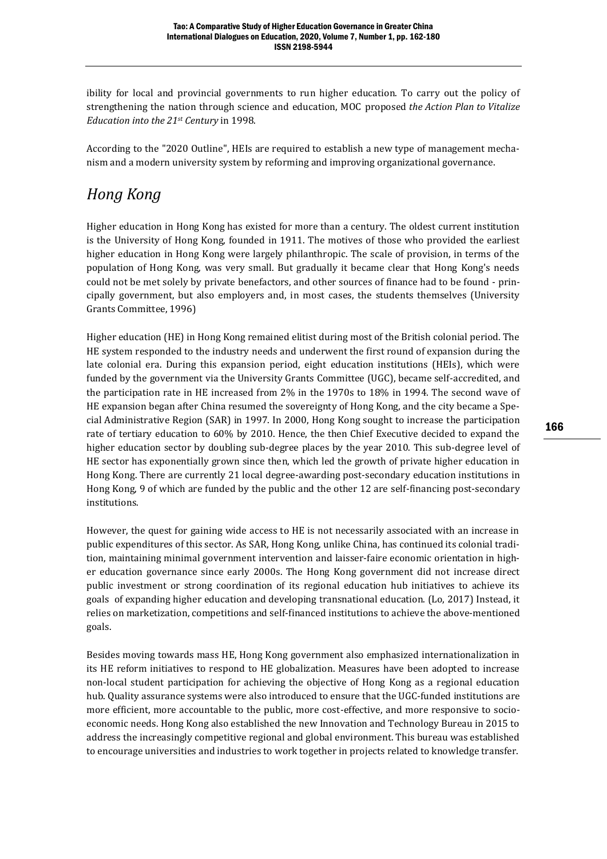ibility for local and provincial governments to run higher education. To carry out the policy of strengthening the nation through science and education, MOC proposed *the Action Plan to Vitalize Education into the 21st Century* in 1998.

According to the "2020 Outline", HEIs are required to establish a new type of management mechanism and a modern university system by reforming and improving organizational governance.

## *Hong Kong*

Higher education in Hong Kong has existed for more than a century. The oldest current institution is the University of Hong Kong, founded in 1911. The motives of those who provided the earliest higher education in Hong Kong were largely philanthropic. The scale of provision, in terms of the population of Hong Kong, was very small. But gradually it became clear that Hong Kong's needs could not be met solely by private benefactors, and other sources of finance had to be found - principally government, but also employers and, in most cases, the students themselves (University Grants Committee, 1996)

Higher education (HE) in Hong Kong remained elitist during most of the British colonial period. The HE system responded to the industry needs and underwent the first round of expansion during the late colonial era. During this expansion period, eight education institutions (HEIs), which were funded by the government via the University Grants Committee (UGC), became self-accredited, and the participation rate in HE increased from 2% in the 1970s to 18% in 1994. The second wave of HE expansion began after China resumed the sovereignty of Hong Kong, and the city became a Special Administrative Region (SAR) in 1997. In 2000, Hong Kong sought to increase the participation rate of tertiary education to 60% by 2010. Hence, the then Chief Executive decided to expand the higher education sector by doubling sub-degree places by the year 2010. This sub-degree level of HE sector has exponentially grown since then, which led the growth of private higher education in Hong Kong. There are currently 21 local degree-awarding post-secondary education institutions in Hong Kong, 9 of which are funded by the public and the other 12 are self-financing post-secondary institutions.

However, the quest for gaining wide access to HE is not necessarily associated with an increase in public expenditures of this sector. As SAR, Hong Kong, unlike China, has continued its colonial tradition, maintaining minimal government intervention and laisser-faire economic orientation in higher education governance since early 2000s. The Hong Kong government did not increase direct public investment or strong coordination of its regional education hub initiatives to achieve its goals of expanding higher education and developing transnational education. (Lo, 2017) Instead, it relies on marketization, competitions and self-financed institutions to achieve the above-mentioned goals.

Besides moving towards mass HE, Hong Kong government also emphasized internationalization in its HE reform initiatives to respond to HE globalization. Measures have been adopted to increase non-local student participation for achieving the objective of Hong Kong as a regional education hub. Quality assurance systems were also introduced to ensure that the UGC-funded institutions are more efficient, more accountable to the public, more cost-effective, and more responsive to socioeconomic needs. Hong Kong also established the new Innovation and Technology Bureau in 2015 to address the increasingly competitive regional and global environment. This bureau was established to encourage universities and industries to work together in projects related to knowledge transfer.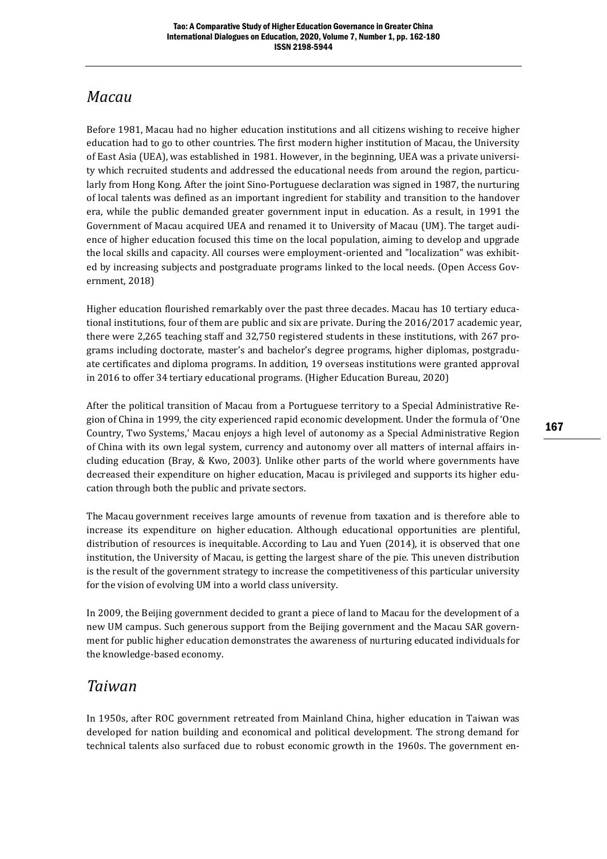#### *Macau*

Before 1981, Macau had no higher education institutions and all citizens wishing to receive higher education had to go to other countries. The first modern higher institution of Macau, the University of East Asia (UEA), was established in 1981. However, in the beginning, UEA was a private university which recruited students and addressed the educational needs from around the region, particularly from Hong Kong. After the joint Sino-Portuguese declaration was signed in 1987, the nurturing of local talents was defined as an important ingredient for stability and transition to the handover era, while the public demanded greater government input in education. As a result, in 1991 the Government of Macau acquired UEA and renamed it to University of Macau (UM). The target audience of higher education focused this time on the local population, aiming to develop and upgrade the local skills and capacity. All courses were employment-oriented and "localization" was exhibited by increasing subjects and postgraduate programs linked to the local needs. (Open Access Government, 2018)

Higher education flourished remarkably over the past three decades. Macau has 10 tertiary educational institutions, four of them are public and six are private. During the 2016/2017 academic year, there were 2,265 teaching staff and 32,750 registered students in these institutions, with 267 programs including doctorate, master's and bachelor's degree programs, higher diplomas, postgraduate certificates and diploma programs. In addition, 19 overseas institutions were granted approval in 2016 to offer 34 tertiary educational programs. (Higher Education Bureau, 2020)

After the political transition of Macau from a Portuguese territory to a Special Administrative Region of China in 1999, the city experienced rapid economic development. Under the formula of 'One Country, Two Systems,' Macau enjoys a high level of autonomy as a Special Administrative Region of China with its own legal system, currency and autonomy over all matters of internal affairs including education (Bray, & Kwo, 2003). Unlike other parts of the world where governments have decreased their expenditure on higher education, Macau is privileged and supports its higher education through both the public and private sectors.

The Macau government receives large amounts of revenue from taxation and is therefore able to increase its expenditure on higher education. Although educational opportunities are plentiful, distribution of resources is inequitable. According to Lau and Yuen (2014), it is observed that one institution, the University of Macau, is getting the largest share of the pie. This uneven distribution is the result of the government strategy to increase the competitiveness of this particular university for the vision of evolving UM into a world class university.

In 2009, the Beijing government decided to grant a piece of land to Macau for the development of a new UM campus. Such generous support from the Beijing government and the Macau SAR government for public higher education demonstrates the awareness of nurturing educated individuals for the knowledge-based economy.

#### *Taiwan*

In 1950s, after ROC government retreated from Mainland China, higher education in Taiwan was developed for nation building and economical and political development. The strong demand for technical talents also surfaced due to robust economic growth in the 1960s. The government en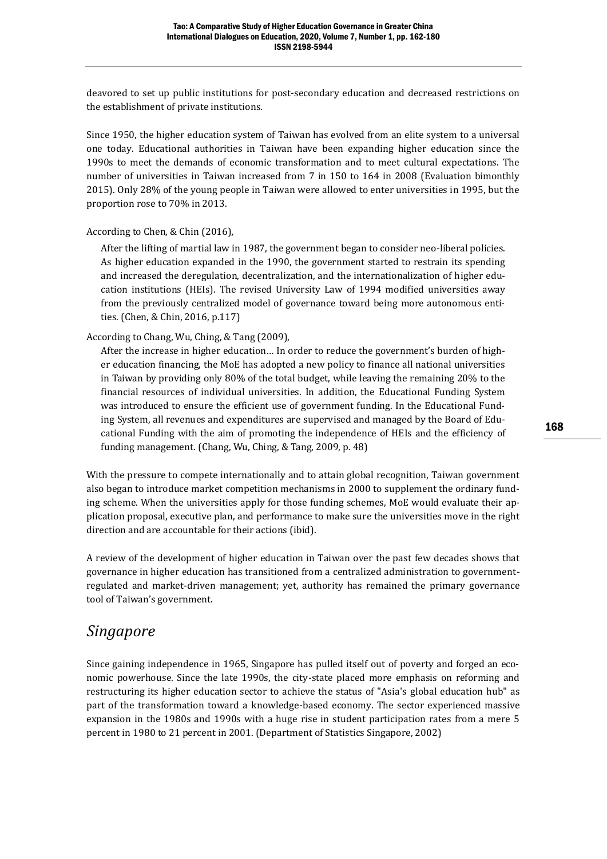deavored to set up public institutions for post-secondary education and decreased restrictions on the establishment of private institutions.

Since 1950, the higher education system of Taiwan has evolved from an elite system to a universal one today. Educational authorities in Taiwan have been expanding higher education since the 1990s to meet the demands of economic transformation and to meet cultural expectations. The number of universities in Taiwan increased from 7 in 150 to 164 in 2008 (Evaluation bimonthly 2015). Only 28% of the young people in Taiwan were allowed to enter universities in 1995, but the proportion rose to 70% in 2013.

According to Chen, & Chin (2016)*,*

After the lifting of martial law in 1987, the government began to consider neo-liberal policies. As higher education expanded in the 1990, the government started to restrain its spending and increased the deregulation, decentralization, and the internationalization of higher education institutions (HEIs). The revised University Law of 1994 modified universities away from the previously centralized model of governance toward being more autonomous entities. (Chen, & Chin, 2016, p.117)

According to Chang, Wu, Ching, & Tang (2009),

After the increase in higher education… In order to reduce the government's burden of higher education financing, the MoE has adopted a new policy to finance all national universities in Taiwan by providing only 80% of the total budget, while leaving the remaining 20% to the financial resources of individual universities. In addition, the Educational Funding System was introduced to ensure the efficient use of government funding. In the Educational Funding System, all revenues and expenditures are supervised and managed by the Board of Educational Funding with the aim of promoting the independence of HEIs and the efficiency of funding management. (Chang, Wu, Ching, & Tang, 2009, p. 48)

With the pressure to compete internationally and to attain global recognition, Taiwan government also began to introduce market competition mechanisms in 2000 to supplement the ordinary funding scheme. When the universities apply for those funding schemes, MoE would evaluate their application proposal, executive plan, and performance to make sure the universities move in the right direction and are accountable for their actions (ibid).

A review of the development of higher education in Taiwan over the past few decades shows that governance in higher education has transitioned from a centralized administration to governmentregulated and market-driven management; yet, authority has remained the primary governance tool of Taiwan's government.

#### *Singapore*

Since gaining independence in 1965, Singapore has pulled itself out of poverty and forged an economic powerhouse. Since the late 1990s, the city-state placed more emphasis on reforming and restructuring its higher education sector to achieve the status of "Asia's global education hub" as part of the transformation toward a knowledge-based economy. The sector experienced massive expansion in the 1980s and 1990s with a huge rise in student participation rates from a mere 5 percent in 1980 to 21 percent in 2001. (Department of Statistics Singapore, 2002)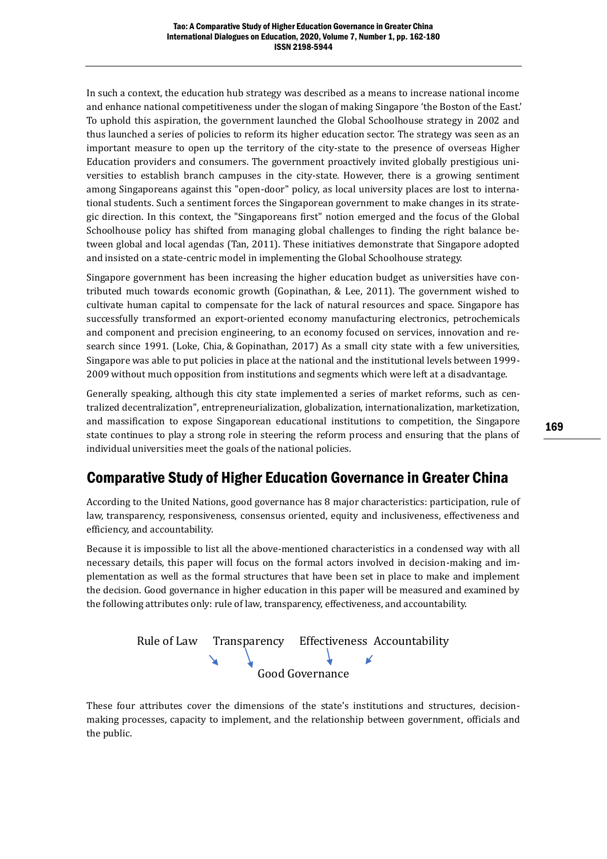In such a context, the education hub strategy was described as a means to increase national income and enhance national competitiveness under the slogan of making Singapore 'the Boston of the East.' To uphold this aspiration, the government launched the Global Schoolhouse strategy in 2002 and thus launched a series of policies to reform its higher education sector. The strategy was seen as an important measure to open up the territory of the city-state to the presence of overseas Higher Education providers and consumers. The government proactively invited globally prestigious universities to establish branch campuses in the city-state. However, there is a growing sentiment among Singaporeans against this "open-door" policy, as local university places are lost to international students. Such a sentiment forces the Singaporean government to make changes in its strategic direction. In this context, the "Singaporeans first" notion emerged and the focus of the Global Schoolhouse policy has shifted from managing global challenges to finding the right balance between global and local agendas (Tan, 2011). These initiatives demonstrate that Singapore adopted and insisted on a state-centric model in implementing the Global Schoolhouse strategy.

Singapore government has been increasing the higher education budget as universities have contributed much towards economic growth (Gopinathan, & Lee, 2011). The government wished to cultivate human capital to compensate for the lack of natural resources and space. Singapore has successfully transformed an export-oriented economy manufacturing electronics, petrochemicals and component and precision engineering, to an economy focused on services, innovation and research since 1991. (Loke, Chia, & Gopinathan, 2017) As a small city state with a few universities, Singapore was able to put policies in place at the national and the institutional levels between 1999- 2009 without much opposition from institutions and segments which were left at a disadvantage.

Generally speaking, although this city state implemented a series of market reforms, such as centralized decentralization", entrepreneurialization, globalization, internationalization, marketization, and massification to expose Singaporean educational institutions to competition, the Singapore state continues to play a strong role in steering the reform process and ensuring that the plans of individual universities meet the goals of the national policies.

#### Comparative Study of Higher Education Governance in Greater China

According to the United Nations, good governance has 8 major characteristics: participation, rule of law, transparency, responsiveness, consensus oriented, equity and inclusiveness, effectiveness and efficiency, and accountability.

Because it is impossible to list all the above-mentioned characteristics in a condensed way with all necessary details, this paper will focus on the formal actors involved in decision-making and implementation as well as the formal structures that have been set in place to make and implement the decision. Good governance in higher education in this paper will be measured and examined by the following attributes only: rule of law, transparency, effectiveness, and accountability.



These four attributes cover the dimensions of the state's institutions and structures, decisionmaking processes, capacity to implement, and the relationship between government, officials and the public.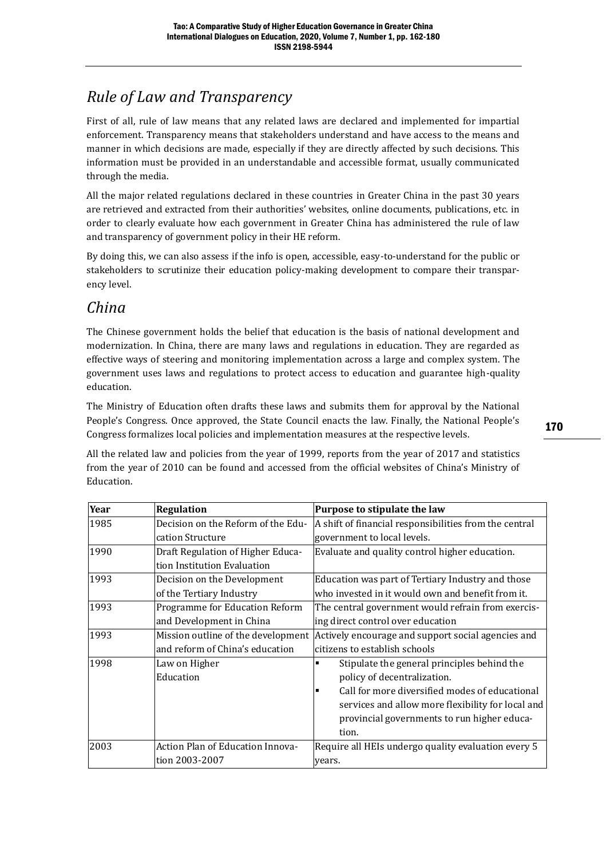## *Rule of Law and Transparency*

First of all, rule of law means that any related laws are declared and implemented for impartial enforcement. Transparency means that stakeholders understand and have access to the means and manner in which decisions are made, especially if they are directly affected by such decisions. This information must be provided in an understandable and accessible format, usually communicated through the media.

All the major related regulations declared in these countries in Greater China in the past 30 years are retrieved and extracted from their authorities' websites, online documents, publications, etc. in order to clearly evaluate how each government in Greater China has administered the rule of law and transparency of government policy in their HE reform.

By doing this, we can also assess if the info is open, accessible, easy-to-understand for the public or stakeholders to scrutinize their education policy-making development to compare their transparency level.

## *China*

The Chinese government holds the belief that education is the basis of national development and modernization. In China, there are many laws and regulations in education. They are regarded as effective ways of steering and monitoring implementation across a large and complex system. The government uses laws and regulations to protect access to education and guarantee high-quality education.

The Ministry of Education often drafts these laws and submits them for approval by the National People's Congress. Once approved, the State Council enacts the law. Finally, the National People's Congress formalizes local policies and implementation measures at the respective levels.

All the related law and policies from the year of 1999, reports from the year of 2017 and statistics from the year of 2010 can be found and accessed from the official websites of China's Ministry of Education.

| Year | <b>Regulation</b>                  | Purpose to stipulate the law                                  |
|------|------------------------------------|---------------------------------------------------------------|
| 1985 | Decision on the Reform of the Edu- | A shift of financial responsibilities from the central        |
|      | cation Structure                   | government to local levels.                                   |
| 1990 | Draft Regulation of Higher Educa-  | Evaluate and quality control higher education.                |
|      | tion Institution Evaluation        |                                                               |
| 1993 | Decision on the Development        | Education was part of Tertiary Industry and those             |
|      | of the Tertiary Industry           | who invested in it would own and benefit from it.             |
| 1993 | Programme for Education Reform     | The central government would refrain from exercis-            |
|      | and Development in China           | ing direct control over education                             |
| 1993 | Mission outline of the development | Actively encourage and support social agencies and            |
|      | and reform of China's education    | citizens to establish schools                                 |
| 1998 | Law on Higher                      | Stipulate the general principles behind the<br>$\blacksquare$ |
|      | Education                          | policy of decentralization.                                   |
|      |                                    | Call for more diversified modes of educational<br>٠           |
|      |                                    | services and allow more flexibility for local and             |
|      |                                    | provincial governments to run higher educa-                   |
|      |                                    | tion.                                                         |
| 2003 | Action Plan of Education Innova-   | Require all HEIs undergo quality evaluation every 5           |
|      | tion 2003-2007                     | years.                                                        |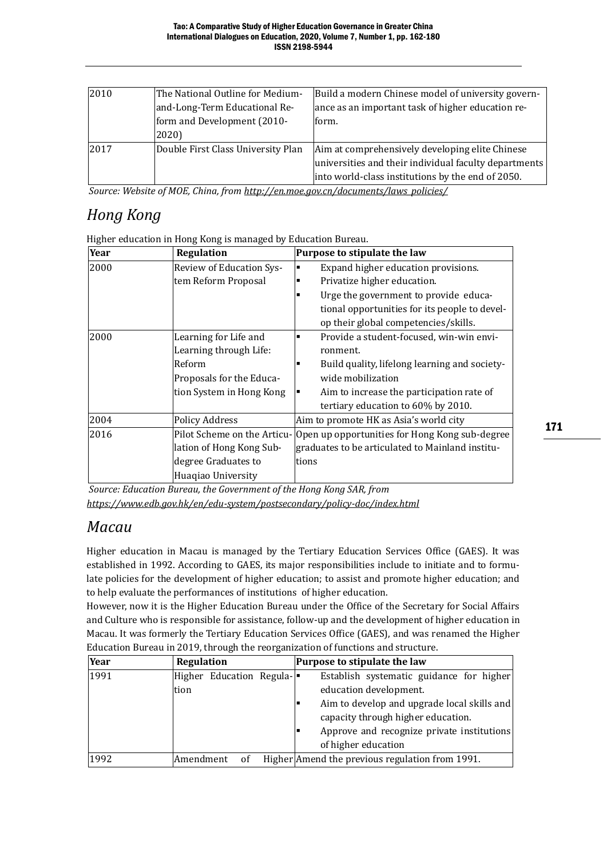| 2010 | The National Outline for Medium-   | Build a modern Chinese model of university govern-    |
|------|------------------------------------|-------------------------------------------------------|
|      | and-Long-Term Educational Re-      | ance as an important task of higher education re-     |
|      | form and Development (2010-        | form.                                                 |
|      | 2020)                              |                                                       |
| 2017 | Double First Class University Plan | Aim at comprehensively developing elite Chinese       |
|      |                                    | universities and their individual faculty departments |
|      |                                    | into world-class institutions by the end of 2050.     |

*Source: Website of MOE, China, fro[m http://en.moe.gov.cn/documents/laws\\_policies/](http://en.moe.gov.cn/documents/laws_policies/)*

## *Hong Kong*

Higher education in Hong Kong is managed by Education Bureau.

| Year | Regulation                  | Purpose to stipulate the law                       |
|------|-----------------------------|----------------------------------------------------|
| 2000 | Review of Education Sys-    | Expand higher education provisions.<br>٠           |
|      | tem Reform Proposal         | Privatize higher education.<br>٠                   |
|      |                             | Urge the government to provide educa-<br>п         |
|      |                             | tional opportunities for its people to devel-      |
|      |                             | op their global competencies/skills.               |
| 2000 | Learning for Life and       | Provide a student-focused, win-win envi-<br>п      |
|      | Learning through Life:      | ronment.                                           |
|      | Reform                      | Build quality, lifelong learning and society-<br>п |
|      | Proposals for the Educa-    | wide mobilization                                  |
|      | tion System in Hong Kong    | Aim to increase the participation rate of<br>ı     |
|      |                             | tertiary education to 60% by 2010.                 |
| 2004 | <b>Policy Address</b>       | Aim to promote HK as Asia's world city             |
| 2016 | Pilot Scheme on the Articu- | Open up opportunities for Hong Kong sub-degree     |
|      | lation of Hong Kong Sub-    | graduates to be articulated to Mainland institu-   |
|      | degree Graduates to         | tions                                              |
|      | Huaqiao University          |                                                    |

*Source: Education Bureau, the Government of the Hong Kong SAR, from <https://www.edb.gov.hk/en/edu-system/postsecondary/policy-doc/index.html>*

#### *Macau*

Higher education in Macau is managed by the Tertiary Education Services Office (GAES). It was established in 1992. According to GAES, its major responsibilities include to initiate and to formulate policies for the development of higher education; to assist and promote higher education; and to help evaluate the performances of institutions of higher education.

However, now it is the Higher Education Bureau under the Office of the Secretary for Social Affairs and Culture who is responsible for assistance, follow-up and the development of higher education in Macau. It was formerly the Tertiary Education Services Office (GAES), and was renamed the Higher Education Bureau in 2019, through the reorganization of functions and structure.

| Year | Regulation               | Purpose to stipulate the law                    |
|------|--------------------------|-------------------------------------------------|
| 1991 | Higher Education Regula- | Establish systematic guidance for higher        |
|      | tion                     | education development.                          |
|      |                          | Aim to develop and upgrade local skills and     |
|      |                          | capacity through higher education.              |
|      |                          | Approve and recognize private institutions      |
|      |                          | of higher education                             |
| 1992 | lAmendment<br>of         | Higher Amend the previous regulation from 1991. |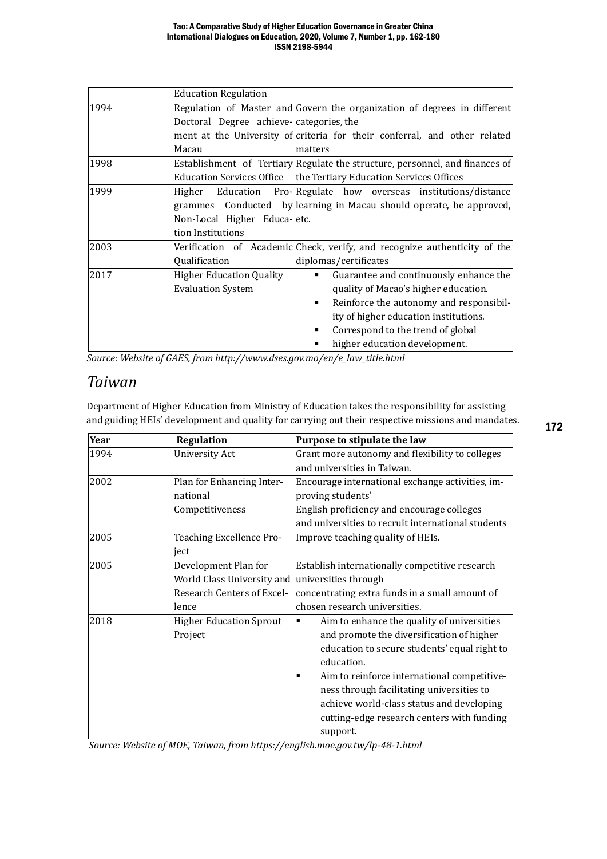|      | <b>Education Regulation</b>             |                                                                              |
|------|-----------------------------------------|------------------------------------------------------------------------------|
| 1994 |                                         | Regulation of Master and Govern the organization of degrees in different     |
|      | Doctoral Degree achieve-categories, the |                                                                              |
|      |                                         | ment at the University of criteria for their conferral, and other related    |
|      | Macau                                   | matters                                                                      |
| 1998 |                                         | Establishment of Tertiary Regulate the structure, personnel, and finances of |
|      |                                         | Education Services Office   the Tertiary Education Services Offices          |
| 1999 |                                         | Higher Education Pro-Regulate how overseas institutions/distance             |
|      |                                         | grammes Conducted by learning in Macau should operate, be approved,          |
|      | Non-Local Higher Educa-letc.            |                                                                              |
|      | tion Institutions                       |                                                                              |
| 2003 |                                         | Verification of Academic Check, verify, and recognize authenticity of the    |
|      | Qualification                           | diplomas/certificates                                                        |
| 2017 | <b>Higher Education Quality</b>         | Guarantee and continuously enhance the<br>$\blacksquare$                     |
|      | <b>Evaluation System</b>                | quality of Macao's higher education.                                         |
|      |                                         | Reinforce the autonomy and responsibil-<br>٠                                 |
|      |                                         | ity of higher education institutions.                                        |
|      |                                         | Correspond to the trend of global<br>٠                                       |
|      |                                         | higher education development.                                                |

*Source: Website of GAES, from http://www.dses.gov.mo/en/e\_law\_title.html*

#### *Taiwan*

Department of Higher Education from Ministry of Education takes the responsibility for assisting and guiding HEIs' development and quality for carrying out their respective missions and mandates.

| Year | <b>Regulation</b>                         | Purpose to stipulate the law                                                                                                                                                                                                                                                                                                                                                    |
|------|-------------------------------------------|---------------------------------------------------------------------------------------------------------------------------------------------------------------------------------------------------------------------------------------------------------------------------------------------------------------------------------------------------------------------------------|
| 1994 | University Act                            | Grant more autonomy and flexibility to colleges                                                                                                                                                                                                                                                                                                                                 |
|      |                                           | and universities in Taiwan.                                                                                                                                                                                                                                                                                                                                                     |
| 2002 | Plan for Enhancing Inter-                 | Encourage international exchange activities, im-                                                                                                                                                                                                                                                                                                                                |
|      | national                                  | proving students'                                                                                                                                                                                                                                                                                                                                                               |
|      | Competitiveness                           | English proficiency and encourage colleges                                                                                                                                                                                                                                                                                                                                      |
|      |                                           | and universities to recruit international students                                                                                                                                                                                                                                                                                                                              |
| 2005 | Teaching Excellence Pro-                  | Improve teaching quality of HEIs.                                                                                                                                                                                                                                                                                                                                               |
|      | ject                                      |                                                                                                                                                                                                                                                                                                                                                                                 |
| 2005 | Development Plan for                      | Establish internationally competitive research                                                                                                                                                                                                                                                                                                                                  |
|      | World Class University and                | universities through                                                                                                                                                                                                                                                                                                                                                            |
|      | <b>Research Centers of Excel-</b>         | concentrating extra funds in a small amount of                                                                                                                                                                                                                                                                                                                                  |
|      | lence                                     | chosen research universities.                                                                                                                                                                                                                                                                                                                                                   |
| 2018 | <b>Higher Education Sprout</b><br>Project | Aim to enhance the quality of universities<br>$\blacksquare$<br>and promote the diversification of higher<br>education to secure students' equal right to<br>education.<br>Aim to reinforce international competitive-<br>п<br>ness through facilitating universities to<br>achieve world-class status and developing<br>cutting-edge research centers with funding<br>support. |

*Source: Website of MOE, Taiwan, from https://english.moe.gov.tw/lp-48-1.html*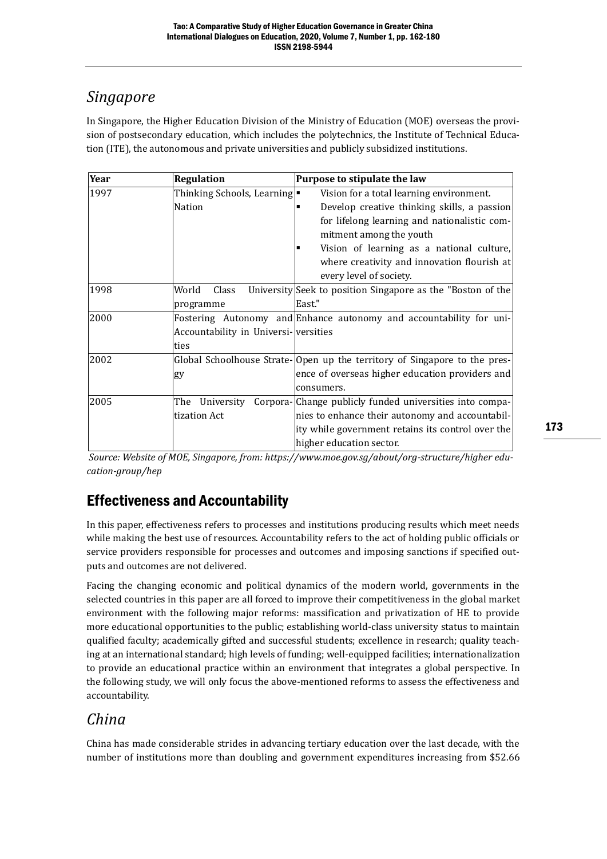### *Singapore*

In Singapore, the Higher Education Division of the Ministry of Education (MOE) overseas the provision of postsecondary education, which includes the polytechnics, the Institute of Technical Education (ITE), the autonomous and private universities and publicly subsidized institutions.

| Year | <b>Regulation</b>                    | Purpose to stipulate the law                                              |
|------|--------------------------------------|---------------------------------------------------------------------------|
| 1997 | Thinking Schools, Learning           | Vision for a total learning environment.                                  |
|      | Nation                               | Develop creative thinking skills, a passion<br>п                          |
|      |                                      | for lifelong learning and nationalistic com-                              |
|      |                                      | mitment among the youth                                                   |
|      |                                      | Vision of learning as a national culture,                                 |
|      |                                      | where creativity and innovation flourish at                               |
|      |                                      | every level of society.                                                   |
| 1998 | World<br>Class                       | University Seek to position Singapore as the "Boston of the               |
|      | programme                            | East."                                                                    |
| 2000 |                                      | Fostering Autonomy and Enhance autonomy and accountability for uni-       |
|      | Accountability in Universi-versities |                                                                           |
|      | ties                                 |                                                                           |
| 2002 |                                      | Global Schoolhouse Strate-Open up the territory of Singapore to the pres- |
|      | gy                                   | ence of overseas higher education providers and                           |
|      |                                      | consumers.                                                                |
| 2005 | The University                       | Corpora-Change publicly funded universities into compa-                   |
|      | tization Act                         | nies to enhance their autonomy and accountabil-                           |
|      |                                      | ity while government retains its control over the                         |
|      |                                      | higher education sector.                                                  |

*Source: Website of MOE, Singapore, from: https://www.moe.gov.sg/about/org-structure/higher education-group/hep*

## Effectiveness and Accountability

In this paper, effectiveness refers to processes and institutions producing results which meet needs while making the best use of resources. Accountability refers to the act of holding public officials or service providers responsible for processes and outcomes and imposing sanctions if specified outputs and outcomes are not delivered.

Facing the changing economic and political dynamics of the modern world, governments in the selected countries in this paper are all forced to improve their competitiveness in the global market environment with the following major reforms: massification and privatization of HE to provide more educational opportunities to the public; establishing world-class university status to maintain qualified faculty; academically gifted and successful students; excellence in research; quality teaching at an international standard; high levels of funding; well-equipped facilities; internationalization to provide an educational practice within an environment that integrates a global perspective. In the following study, we will only focus the above-mentioned reforms to assess the effectiveness and accountability.

#### *China*

China has made considerable strides in advancing tertiary education over the last decade, with the number of institutions more than doubling and government expenditures increasing from \$52.66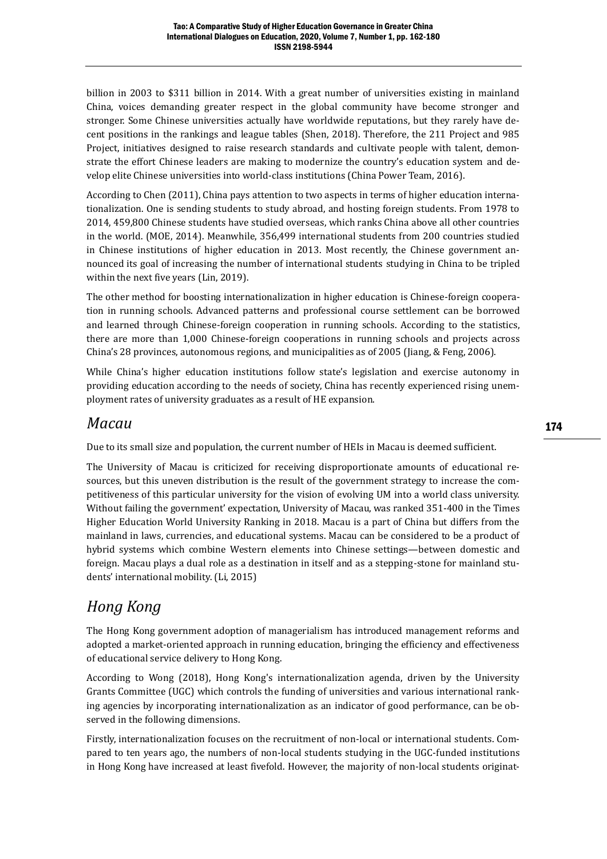billion in 2003 to \$311 billion in 2014. With a great number of universities existing in mainland China, voices demanding greater respect in the global community have become stronger and stronger. Some Chinese universities actually have worldwide reputations, but they rarely have decent positions in the rankings and league tables (Shen, 2018). Therefore, the 211 Project and 985 Project, initiatives designed to raise research standards and cultivate people with talent, demonstrate the effort Chinese leaders are making to modernize the country's education system and develop elite Chinese universities into world-class institutions (China Power Team, 2016).

According to Chen (2011), China pays attention to two aspects in terms of higher education internationalization. One is sending students to study abroad, and hosting foreign students. From 1978 to 2014, 459,800 Chinese students have studied overseas, which ranks China above all other countries in the world. (MOE, 2014). Meanwhile, 356,499 international students from 200 countries studied in Chinese institutions of higher education in 2013. Most recently, the Chinese government announced its goal of increasing the number of international students studying in China to be tripled within the next five years (Lin, 2019).

The other method for boosting internationalization in higher education is Chinese-foreign cooperation in running schools. Advanced patterns and professional course settlement can be borrowed and learned through Chinese-foreign cooperation in running schools. According to the statistics, there are more than 1,000 Chinese-foreign cooperations in running schools and projects across China's 28 provinces, autonomous regions, and municipalities as of 2005 (Jiang, & Feng, 2006).

While China's higher education institutions follow state's legislation and exercise autonomy in providing education according to the needs of society, China has recently experienced rising unemployment rates of university graduates as a result of HE expansion.

#### *Macau*

Due to its small size and population, the current number of HEIs in Macau is deemed sufficient.

The University of Macau is criticized for receiving disproportionate amounts of educational resources, but this uneven distribution is the result of the government strategy to increase the competitiveness of this particular university for the vision of evolving UM into a world class university. Without failing the government' expectation, University of Macau, was ranked 351-400 in the Times Higher Education World University Ranking in 2018. Macau is a part of China but differs from the mainland in laws, currencies, and educational systems. Macau can be considered to be a product of hybrid systems which combine Western elements into Chinese settings—between domestic and foreign. Macau plays a dual role as a destination in itself and as a stepping-stone for mainland students' international mobility. (Li, 2015)

## *Hong Kong*

The Hong Kong government adoption of managerialism has introduced management reforms and adopted a market-oriented approach in running education, bringing the efficiency and effectiveness of educational service delivery to Hong Kong.

According to Wong (2018), Hong Kong's internationalization agenda, driven by the University Grants Committee (UGC) which controls the funding of universities and various international ranking agencies by incorporating internationalization as an indicator of good performance, can be observed in the following dimensions.

Firstly, internationalization focuses on the recruitment of non-local or international students. Compared to ten years ago, the numbers of non-local students studying in the UGC-funded institutions in Hong Kong have increased at least fivefold. However, the majority of non-local students originat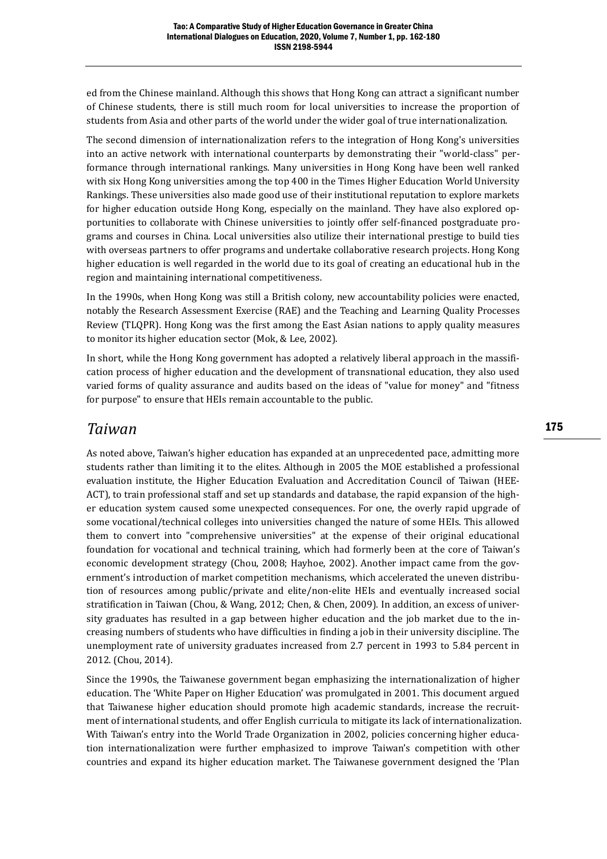ed from the Chinese mainland. Although this shows that Hong Kong can attract a significant number of Chinese students, there is still much room for local universities to increase the proportion of students from Asia and other parts of the world under the wider goal of true internationalization.

The second dimension of internationalization refers to the integration of Hong Kong's universities into an active network with international counterparts by demonstrating their "world-class" performance through international rankings. Many universities in Hong Kong have been well ranked with six Hong Kong universities among the top 400 in the Times Higher Education World University Rankings. These universities also made good use of their institutional reputation to explore markets for higher education outside Hong Kong, especially on the mainland. They have also explored opportunities to collaborate with Chinese universities to jointly offer self-financed postgraduate programs and courses in China. Local universities also utilize their international prestige to build ties with overseas partners to offer programs and undertake collaborative research projects. Hong Kong higher education is well regarded in the world due to its goal of creating an educational hub in the region and maintaining international competitiveness.

In the 1990s, when Hong Kong was still a British colony, new accountability policies were enacted, notably the Research Assessment Exercise (RAE) and the Teaching and Learning Quality Processes Review (TLQPR). Hong Kong was the first among the East Asian nations to apply quality measures to monitor its higher education sector (Mok, & Lee, 2002).

In short, while the Hong Kong government has adopted a relatively liberal approach in the massification process of higher education and the development of transnational education, they also used varied forms of quality assurance and audits based on the ideas of "value for money" and "fitness for purpose" to ensure that HEIs remain accountable to the public.

#### *Taiwan*

As noted above, Taiwan's higher education has expanded at an unprecedented pace, admitting more students rather than limiting it to the elites. Although in 2005 the MOE established a professional evaluation institute, the Higher Education Evaluation and Accreditation Council of Taiwan (HEE-ACT), to train professional staff and set up standards and database, the rapid expansion of the higher education system caused some unexpected consequences. For one, the overly rapid upgrade of some vocational/technical colleges into universities changed the nature of some HEIs. This allowed them to convert into "comprehensive universities" at the expense of their original educational foundation for vocational and technical training, which had formerly been at the core of Taiwan's economic development strategy (Chou, 2008; Hayhoe, 2002). Another impact came from the government's introduction of market competition mechanisms, which accelerated the uneven distribution of resources among public/private and elite/non-elite HEIs and eventually increased social stratification in Taiwan (Chou, & Wang, 2012; Chen, & Chen, 2009). In addition, an excess of university graduates has resulted in a gap between higher education and the job market due to the increasing numbers of students who have difficulties in finding a job in their university discipline. The unemployment rate of university graduates increased from 2.7 percent in 1993 to 5.84 percent in 2012. (Chou, 2014).

Since the 1990s, the Taiwanese government began emphasizing the internationalization of higher education. The 'White Paper on Higher Education' was promulgated in 2001. This document argued that Taiwanese higher education should promote high academic standards, increase the recruitment of international students, and offer English curricula to mitigate its lack of internationalization. With Taiwan's entry into the World Trade Organization in 2002, policies concerning higher education internationalization were further emphasized to improve Taiwan's competition with other countries and expand its higher education market. The Taiwanese government designed the 'Plan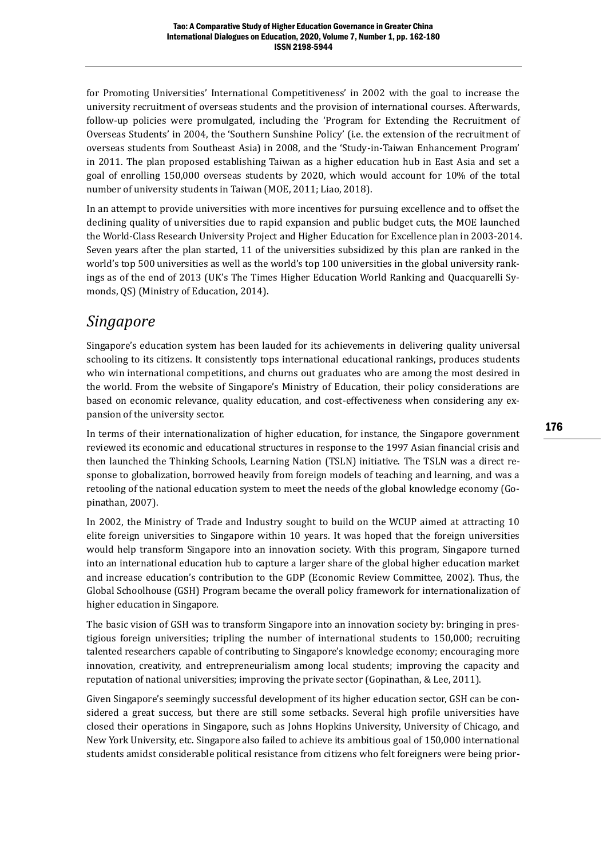for Promoting Universities' International Competitiveness' in 2002 with the goal to increase the university recruitment of overseas students and the provision of international courses. Afterwards, follow-up policies were promulgated, including the 'Program for Extending the Recruitment of Overseas Students' in 2004, the 'Southern Sunshine Policy' (i.e. the extension of the recruitment of overseas students from Southeast Asia) in 2008, and the 'Study-in-Taiwan Enhancement Program' in 2011. The plan proposed establishing Taiwan as a higher education hub in East Asia and set a goal of enrolling 150,000 overseas students by 2020, which would account for 10% of the total number of university students in Taiwan (MOE, 2011; Liao, 2018).

In an attempt to provide universities with more incentives for pursuing excellence and to offset the declining quality of universities due to rapid expansion and public budget cuts, the MOE launched the World-Class Research University Project and Higher Education for Excellence plan in 2003-2014. Seven years after the plan started, 11 of the universities subsidized by this plan are ranked in the world's top 500 universities as well as the world's top 100 universities in the global university rankings as of the end of 2013 (UK's The Times Higher Education World Ranking and Quacquarelli Symonds, QS) (Ministry of Education, 2014).

### *Singapore*

Singapore's education system has been lauded for its achievements in delivering quality universal schooling to its citizens. It consistently tops international educational rankings, produces students who win international competitions, and churns out graduates who are among the most desired in the world. From the website of Singapore's Ministry of Education, their policy considerations are based on economic relevance, quality education, and cost-effectiveness when considering any expansion of the university sector.

In terms of their internationalization of higher education, for instance, the Singapore government reviewed its economic and educational structures in response to the 1997 Asian financial crisis and then launched the Thinking Schools, Learning Nation (TSLN) initiative. The TSLN was a direct response to globalization, borrowed heavily from foreign models of teaching and learning, and was a retooling of the national education system to meet the needs of the global knowledge economy (Gopinathan, 2007).

In 2002, the Ministry of Trade and Industry sought to build on the WCUP aimed at attracting 10 elite foreign universities to Singapore within 10 years. It was hoped that the foreign universities would help transform Singapore into an innovation society. With this program, Singapore turned into an international education hub to capture a larger share of the global higher education market and increase education's contribution to the GDP (Economic Review Committee, 2002). Thus, the Global Schoolhouse (GSH) Program became the overall policy framework for internationalization of higher education in Singapore.

The basic vision of GSH was to transform Singapore into an innovation society by: bringing in prestigious foreign universities; tripling the number of international students to 150,000; recruiting talented researchers capable of contributing to Singapore's knowledge economy; encouraging more innovation, creativity, and entrepreneurialism among local students; improving the capacity and reputation of national universities; improving the private sector (Gopinathan, & Lee, 2011).

Given Singapore's seemingly successful development of its higher education sector, GSH can be considered a great success, but there are still some setbacks. Several high profile universities have closed their operations in Singapore, such as Johns Hopkins University, University of Chicago, and New York University, etc. Singapore also failed to achieve its ambitious goal of 150,000 international students amidst considerable political resistance from citizens who felt foreigners were being prior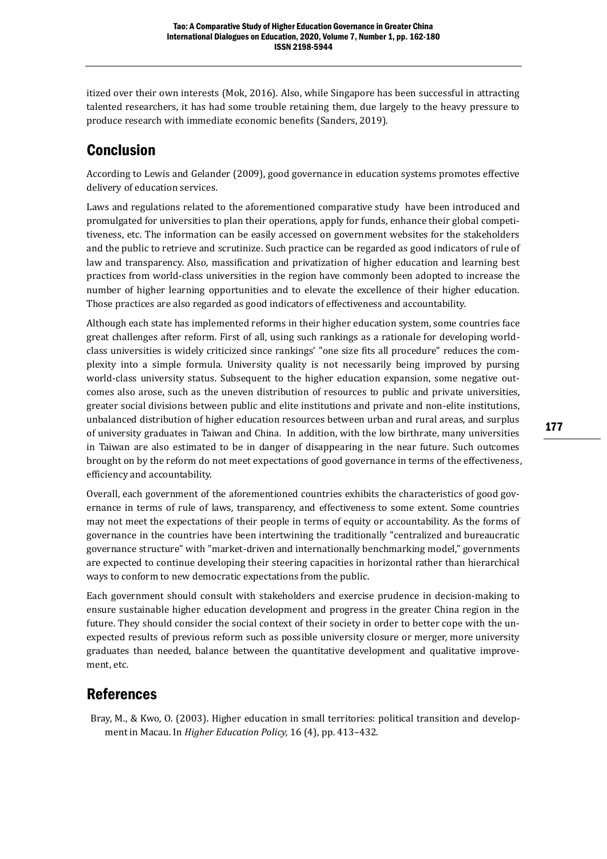itized over their own interests (Mok, 2016). Also, while Singapore has been successful in attracting talented researchers, it has had some trouble retaining them, due largely to the heavy pressure to produce research with immediate economic benefits (Sanders, 2019).

### Conclusion

According to Lewis and Gelander (2009), good governance in education systems promotes effective delivery of education services.

Laws and regulations related to the aforementioned comparative study have been introduced and promulgated for universities to plan their operations, apply for funds, enhance their global competitiveness, etc. The information can be easily accessed on government websites for the stakeholders and the public to retrieve and scrutinize. Such practice can be regarded as good indicators of rule of law and transparency. Also, massification and privatization of higher education and learning best practices from world-class universities in the region have commonly been adopted to increase the number of higher learning opportunities and to elevate the excellence of their higher education. Those practices are also regarded as good indicators of effectiveness and accountability.

Although each state has implemented reforms in their higher education system, some countries face great challenges after reform. First of all, using such rankings as a rationale for developing worldclass universities is widely criticized since rankings' "one size fits all procedure" reduces the complexity into a simple formula. University quality is not necessarily being improved by pursing world-class university status. Subsequent to the higher education expansion, some negative outcomes also arose, such as the uneven distribution of resources to public and private universities, greater social divisions between public and elite institutions and private and non-elite institutions, unbalanced distribution of higher education resources between urban and rural areas, and surplus of university graduates in Taiwan and China. In addition, with the low birthrate, many universities in Taiwan are also estimated to be in danger of disappearing in the near future. Such outcomes brought on by the reform do not meet expectations of good governance in terms of the effectiveness, efficiency and accountability.

Overall, each government of the aforementioned countries exhibits the characteristics of good governance in terms of rule of laws, transparency, and effectiveness to some extent. Some countries may not meet the expectations of their people in terms of equity or accountability. As the forms of governance in the countries have been intertwining the traditionally "centralized and bureaucratic governance structure" with "market-driven and internationally benchmarking model," governments are expected to continue developing their steering capacities in horizontal rather than hierarchical ways to conform to new democratic expectations from the public.

Each government should consult with stakeholders and exercise prudence in decision-making to ensure sustainable higher education development and progress in the greater China region in the future. They should consider the social context of their society in order to better cope with the unexpected results of previous reform such as possible university closure or merger, more university graduates than needed, balance between the quantitative development and qualitative improvement, etc.

#### References

Bray, M., & Kwo, O. (2003). Higher education in small territories: political transition and development in Macau. In *Higher Education Policy,* 16 (4), pp. 413–432.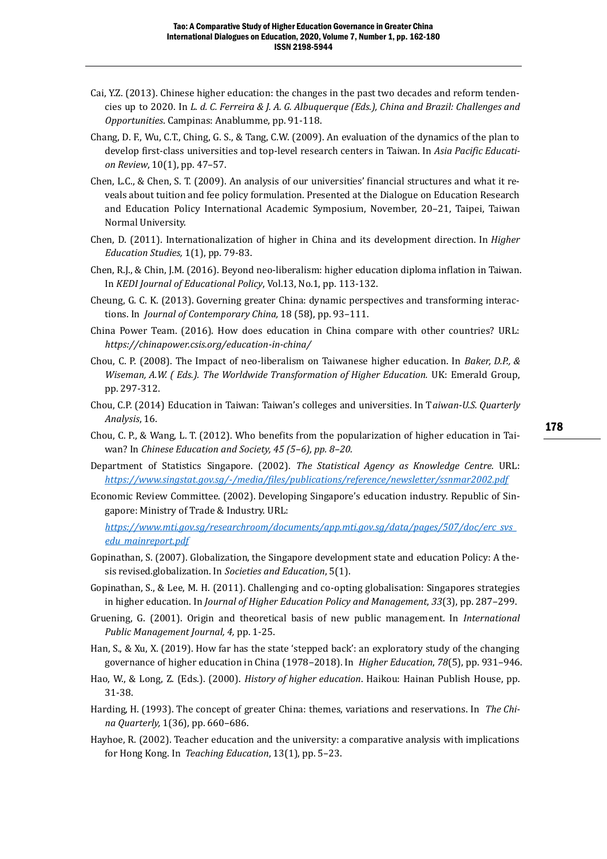- Cai, Y.Z. (2013). Chinese higher education: the changes in the past two decades and reform tendencies up to 2020. In *L. d. C. Ferreira & J. A. G. Albuquerque (Eds.), China and Brazil: Challenges and Opportunities*. Campinas: Anablumme, pp. 91-118.
- Chang, D. F., Wu, C.T., Ching, G. S., & Tang, C.W. (2009). An evaluation of the dynamics of the plan to develop first-class universities and top-level research centers in Taiwan. In *Asia Pacific Education Review*, 10(1), pp. 47–57.
- Chen, L.C., & Chen, S. T. (2009). An analysis of our universities' financial structures and what it reveals about tuition and fee policy formulation. Presented at the Dialogue on Education Research and Education Policy International Academic Symposium, November, 20–21, Taipei, Taiwan Normal University.
- Chen, D. (2011). Internationalization of higher in China and its development direction. In *Higher Education Studies,* 1(1), pp. 79-83.
- Chen, R.J., & Chin, J.M. (2016). Beyond neo-liberalism: higher education diploma inflation in Taiwan. In *KEDI Journal of Educational Policy*, Vol.13, No.1, pp. 113-132.
- Cheung, G. C. K. (2013). Governing greater China: dynamic perspectives and transforming interactions. In *Journal of Contemporary China,* 18 (58), pp. 93–111.
- China Power Team. (2016). How does education in China compare with other countries? URL: *https://chinapower.csis.org/education-in-china/*
- Chou, C. P. (2008). The Impact of neo-liberalism on Taiwanese higher education. In *Baker, D.P., & Wiseman, A.W. ( Eds.). The Worldwide Transformation of Higher Education.* UK: Emerald Group, pp. 297-312.
- Chou, C.P. (2014) Education in Taiwan: Taiwan's colleges and universities. In T*aiwan-U.S. Quarterly Analysis*, 16.
- Chou, C. P., & Wang, L. T. (2012). Who benefits from the popularization of higher education in Taiwan? In *Chinese Education and Society, 45 (5–6), pp. 8–20.*
- Department of Statistics Singapore. (2002). *The Statistical Agency as Knowledge Centre.* URL: *<https://www.singstat.gov.sg/-/media/files/publications/reference/newsletter/ssnmar2002.pdf>*
- Economic Review Committee. (2002). Developing Singapore's education industry. Republic of Singapore: Ministry of Trade & Industry. URL:

*[https://www.mti.gov.sg/researchroom/documents/app.mti.gov.sg/data/pages/507/doc/erc\\_svs\\_](https://www.mti.gov.sg/researchroom/documents/app.mti.gov.sg/data/pages/507/doc/erc_svs_edu_mainreport.pdf) [edu\\_mainreport.pdf](https://www.mti.gov.sg/researchroom/documents/app.mti.gov.sg/data/pages/507/doc/erc_svs_edu_mainreport.pdf)*

- Gopinathan, S. (2007). Globalization, the Singapore development state and education Policy: A thesis revised.globalization. In *Societies and Education*, 5(1).
- Gopinathan, S., & Lee, M. H. (2011). Challenging and co-opting globalisation: Singapores strategies in higher education. In *Journal of Higher Education Policy and Management*, *33*(3), pp. 287–299.
- Gruening, G. (2001). Origin and theoretical basis of new public management. In *International Public Management Journal, 4,* pp. 1-25.
- Han, S., & Xu, X. (2019). How far has the state 'stepped back': an exploratory study of the changing governance of higher education in China (1978–2018). In *Higher Education*, *78*(5), pp. 931–946.
- Hao, W., & Long, Z. (Eds.). (2000). *History of higher education*. Haikou: Hainan Publish House, pp. 31-38.
- Harding, H. (1993). The concept of greater China: themes, variations and reservations. In *The China Quarterly,* 1(36), pp. 660–686.
- Hayhoe, R. (2002). Teacher education and the university: a comparative analysis with implications for Hong Kong. In *Teaching Education*, 13(1), pp. 5–23.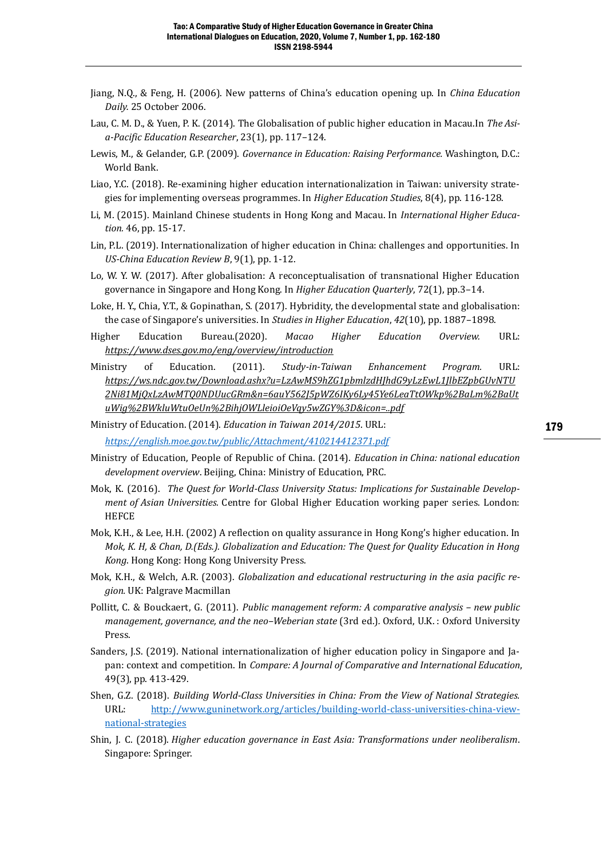- Jiang, N.Q., & Feng, H. (2006). New patterns of China's education opening up. In *China Education Daily.* 25 October 2006.
- Lau, C. M. D., & Yuen, P. K. (2014). The Globalisation of public higher education in Macau.In *The Asia-Pacific Education Researcher*, 23(1), pp. 117–124.
- Lewis, M., & Gelander, G.P. (2009). *Governance in Education: Raising Performance.* Washington, D.C.: World Bank.
- Liao, Y.C. (2018). Re-examining higher education internationalization in Taiwan: university strategies for implementing overseas programmes. In *Higher Education Studies*, 8(4), pp. 116-128.
- Li, M. (2015). Mainland Chinese students in Hong Kong and Macau. In *International Higher Education.* 46, pp. 15-17.
- Lin, P.L. (2019). Internationalization of higher education in China: challenges and opportunities. In *US-China Education Review B*, 9(1), pp. 1-12.
- Lo, W. Y. W. (2017). After globalisation: A reconceptualisation of transnational Higher Education governance in Singapore and Hong Kong. In *Higher Education Quarterly*, 72(1), pp.3–14.
- Loke, H. Y., Chia, Y.T., & Gopinathan, S. (2017). Hybridity, the developmental state and globalisation: the case of Singapore's universities. In *Studies in Higher Education*, *42*(10), pp. 1887–1898.
- Higher Education Bureau.(2020). *Macao Higher Education Overview.* URL: *<https://www.dses.gov.mo/eng/overview/introduction>*
- Ministry of Education. (2011). *Study-in-Taiwan Enhancement Program.* URL: *[https://ws.ndc.gov.tw/Download.ashx?u=LzAwMS9hZG1pbmlzdHJhdG9yLzEwL1JlbEZpbGUvNTU](https://ws.ndc.gov.tw/Download.ashx?u=LzAwMS9hZG1pbmlzdHJhdG9yLzEwL1JlbEZpbGUvNTU2Ni81MjQxLzAwMTQ0NDUucGRm&n=6auY562J5pWZ6IKy6Ly45Ye6LeaTtOWkp%2BaLm%2BaUtuWig%2BWkluWtuOeUn%2BihjOWLleioiOeVqy5wZGY%3D&icon=..pdf) [2Ni81MjQxLzAwMTQ0NDUucGRm&n=6auY562J5pWZ6IKy6Ly45Ye6LeaTtOWkp%2BaLm%2BaUt](https://ws.ndc.gov.tw/Download.ashx?u=LzAwMS9hZG1pbmlzdHJhdG9yLzEwL1JlbEZpbGUvNTU2Ni81MjQxLzAwMTQ0NDUucGRm&n=6auY562J5pWZ6IKy6Ly45Ye6LeaTtOWkp%2BaLm%2BaUtuWig%2BWkluWtuOeUn%2BihjOWLleioiOeVqy5wZGY%3D&icon=..pdf) [uWig%2BWkluWtuOeUn%2BihjOWLleioiOeVqy5wZGY%3D&icon=..pdf](https://ws.ndc.gov.tw/Download.ashx?u=LzAwMS9hZG1pbmlzdHJhdG9yLzEwL1JlbEZpbGUvNTU2Ni81MjQxLzAwMTQ0NDUucGRm&n=6auY562J5pWZ6IKy6Ly45Ye6LeaTtOWkp%2BaLm%2BaUtuWig%2BWkluWtuOeUn%2BihjOWLleioiOeVqy5wZGY%3D&icon=..pdf)*
- Ministry of Education. (2014). *Education in Taiwan 2014/2015*. URL:

*<https://english.moe.gov.tw/public/Attachment/410214412371.pdf>*

- Ministry of Education, People of Republic of China. (2014). *Education in China: national education development overview*. Beijing, China: Ministry of Education, PRC.
- Mok, K. (2016). *The Quest for World-Class University Status: Implications for Sustainable Development of Asian Universities.* Centre for Global Higher Education working paper series. London: **HEFCE**
- Mok, K.H., & Lee, H.H. (2002) A reflection on quality assurance in Hong Kong's higher education. In *Mok, K. H, & Chan, D.(Eds.). Globalization and Education: The Quest for Quality Education in Hong Kong*. Hong Kong: Hong Kong University Press.
- Mok, K.H., & Welch, A.R. (2003). *Globalization and educational restructuring in the asia pacific region.* UK: Palgrave Macmillan
- Pollitt, C. & Bouckaert, G. (2011). *Public management reform: A comparative analysis new public management, governance, and the neo–Weberian state* (3rd ed.)*.* Oxford, U.K. : Oxford University Press.
- Sanders, J.S. (2019). National internationalization of higher education policy in Singapore and Japan: context and competition. In *Compare: A Journal of Comparative and International Education*, 49(3), pp. 413-429.
- Shen, G.Z. (2018). *Building World-Class Universities in China: From the View of National Strategies.*  URL: [http://www.guninetwork.org/articles/building-world-class-universities-china-view](http://www.guninetwork.org/articles/building-world-class-universities-china-view-national-strategies)[national-strategies](http://www.guninetwork.org/articles/building-world-class-universities-china-view-national-strategies)
- Shin, J. C. (2018). *Higher education governance in East Asia: Transformations under neoliberalism*. Singapore: Springer.

179